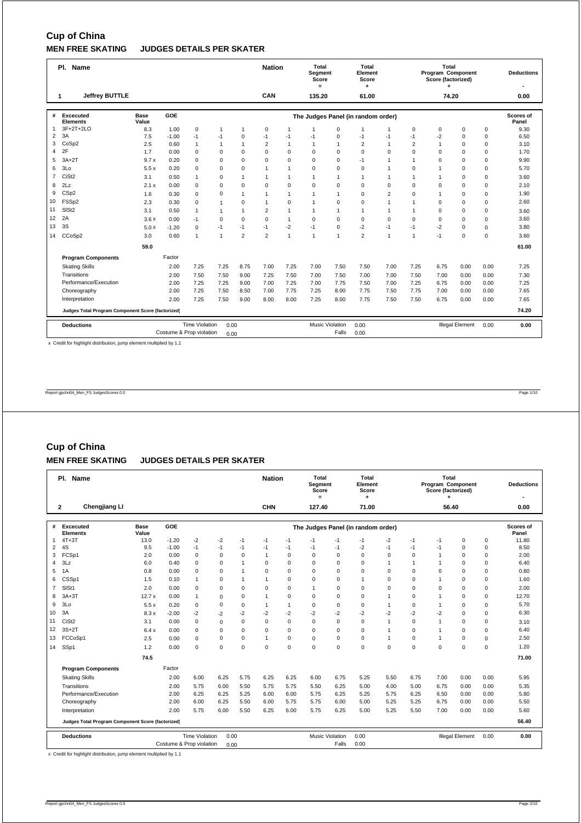# **Cup of China**

## **MEN FREE SKATING JUDGES DETAILS PER SKATER**

|                         | Pl. Name                                          |                      |                          |                       |                |                | <b>Nation</b>  |                | Total<br>Segment<br>Score<br>$=$ |                | Total<br>Element<br>Score<br>٠     |                |                | Total<br>Program Component<br>Score (factorized) |                        |             | <b>Deductions</b><br>$\overline{\phantom{a}}$ |
|-------------------------|---------------------------------------------------|----------------------|--------------------------|-----------------------|----------------|----------------|----------------|----------------|----------------------------------|----------------|------------------------------------|----------------|----------------|--------------------------------------------------|------------------------|-------------|-----------------------------------------------|
|                         | <b>Jeffrey BUTTLE</b><br>1                        |                      |                          |                       |                |                | CAN            |                | 135.20                           |                | 61.00                              |                |                | 74.20                                            |                        |             | 0.00                                          |
| #                       | <b>Excecuted</b><br><b>Elements</b>               | <b>Base</b><br>Value | GOE                      |                       |                |                |                |                |                                  |                | The Judges Panel (in random order) |                |                |                                                  |                        |             | <b>Scores of</b><br>Panel                     |
| 1                       | 3F+2T+2LO                                         | 8.3                  | 1.00                     | $\mathbf 0$           | $\overline{1}$ | $\mathbf{1}$   | $\mathbf 0$    | $\overline{1}$ | $\overline{1}$                   | 0              | $\overline{1}$                     | $\mathbf{1}$   | 0              | 0                                                | $\mathbf 0$            | $\mathbf 0$ | 9.30                                          |
| $\overline{2}$          | 3A                                                | 7.5                  | $-1.00$                  | $-1$                  | $-1$           | $\mathbf 0$    | $-1$           | $-1$           | $-1$                             | $\Omega$       | $-1$                               | $-1$           | $-1$           | $-2$                                             | $\mathbf 0$            | $\mathbf 0$ | 6.50                                          |
| 3                       | CoSp2                                             | 2.5                  | 0.60                     | $\overline{1}$        | $\mathbf{1}$   | $\overline{1}$ | $\overline{2}$ | $\mathbf{1}$   | $\overline{1}$                   | 1              | $\overline{2}$                     | $\mathbf{1}$   | $\overline{2}$ | $\overline{1}$                                   | $\Omega$               | $\mathbf 0$ | 3.10                                          |
| $\overline{\mathbf{4}}$ | 2F                                                | 1.7                  | 0.00                     | $\mathbf 0$           | $\mathbf 0$    | $\mathbf 0$    | $\mathbf 0$    | $\mathbf 0$    | $\mathbf 0$                      | $\mathbf 0$    | $\mathbf 0$                        | $\mathbf 0$    | $\Omega$       | $\Omega$                                         | 0                      | 0           | 1.70                                          |
| 5                       | $3A+2T$                                           | 9.7x                 | 0.20                     | $\Omega$              | 0              | $\Omega$       | $\Omega$       | $\Omega$       | $\Omega$                         | $\Omega$       | $-1$                               | $\mathbf{1}$   | 1              | $\Omega$                                         | $\Omega$               | 0           | 9.90                                          |
| 6                       | 3Lo                                               | 5.5x                 | 0.20                     | $\mathbf 0$           | $\mathbf 0$    | $\Omega$       | $\mathbf{1}$   | $\mathbf{1}$   | $\mathbf 0$                      | $\mathbf 0$    | $\mathbf 0$                        | $\mathbf{1}$   | $\Omega$       | 1                                                | $\Omega$               | $\mathbf 0$ | 5.70                                          |
| $\overline{7}$          | CiSt <sub>2</sub>                                 | 3.1                  | 0.50                     | $\mathbf{1}$          | 0              | $\overline{1}$ | $\overline{1}$ | $\mathbf{1}$   | $\overline{1}$                   | 1              | $\overline{1}$                     | $\mathbf{1}$   | 1              | 1                                                | $\Omega$               | 0           | 3.60                                          |
| 8                       | 2Lz                                               | 2.1x                 | 0.00                     | $\mathbf 0$           | $\pmb{0}$      | $\mathbf 0$    | $\mathbf 0$    | $\mathbf 0$    | 0                                | $\mathbf 0$    | $\mathbf 0$                        | $\mathbf 0$    | $\Omega$       | $\Omega$                                         | $\Omega$               | $\mathsf 0$ | 2.10                                          |
| 9                       | CSp2                                              | 1.6                  | 0.30                     | $\mathbf 0$           | $\mathbf 0$    | $\overline{1}$ | $\mathbf{1}$   | $\mathbf{1}$   | $\mathbf{1}$                     | $\mathbf{1}$   | $\Omega$                           | $\overline{2}$ | $\Omega$       | 1                                                | $\Omega$               | $\mathbf 0$ | 1.90                                          |
| 10                      | FSSp2                                             | 2.3                  | 0.30                     | $\mathbf 0$           | $\mathbf{1}$   | $\mathbf 0$    | $\mathbf{1}$   | $\mathbf 0$    | $\overline{1}$                   | $\mathbf 0$    | $\mathbf 0$                        | $\mathbf{1}$   | $\mathbf{1}$   | $\Omega$                                         | $\Omega$               | $\mathbf 0$ | 2.60                                          |
| 11                      | SIS <sub>t2</sub>                                 | 3.1                  | 0.50                     | $\mathbf{1}$          | $\mathbf{1}$   | $\overline{1}$ | $\overline{2}$ | $\mathbf{1}$   | 1                                | 1              | $\overline{1}$                     | $\mathbf{1}$   | 1              | $\Omega$                                         | $\mathbf 0$            | $\mathbf 0$ | 3.60                                          |
| 12                      | 2A                                                | 3.6x                 | 0.00                     | $-1$                  | $\mathbf 0$    | $\mathbf 0$    | $\Omega$       | $\mathbf{1}$   | $\mathbf 0$                      | $\Omega$       | $\mathbf 0$                        | $\Omega$       | $\Omega$       | $\Omega$                                         | $\Omega$               | $\mathbf 0$ | 3.60                                          |
| 13                      | 3S                                                | 5.0x                 | $-1.20$                  | $\Omega$              | $-1$           | $-1$           | $-1$           | $-2$           | $-1$                             | $\mathbf 0$    | $-2$                               | $-1$           | $-1$           | $-2$                                             | 0                      | $\Omega$    | 3.80                                          |
| 14                      | CCoSp2                                            | 3.0                  | 0.60                     | $\mathbf{1}$          | $\mathbf{1}$   | $\overline{2}$ | $\overline{2}$ | $\mathbf{1}$   | $\overline{1}$                   | $\overline{1}$ | $\overline{2}$                     | $\overline{1}$ | 1              | $-1$                                             | $\mathbf 0$            | $\mathbf 0$ | 3.60                                          |
|                         |                                                   | 59.0                 |                          |                       |                |                |                |                |                                  |                |                                    |                |                |                                                  |                        |             | 61.00                                         |
|                         | <b>Program Components</b>                         |                      | Factor                   |                       |                |                |                |                |                                  |                |                                    |                |                |                                                  |                        |             |                                               |
|                         | <b>Skating Skills</b>                             |                      | 2.00                     | 7.25                  | 7.25           | 8.75           | 7.00           | 7.25           | 7.00                             | 7.50           | 7.50                               | 7.00           | 7.25           | 6.75                                             | 0.00                   | 0.00        | 7.25                                          |
|                         | Transitions                                       |                      | 2.00                     | 7.50                  | 7.50           | 9.00           | 7.25           | 7.50           | 7.00                             | 7.50           | 7.00                               | 7.00           | 7.50           | 7.00                                             | 0.00                   | 0.00        | 7.30                                          |
|                         | Performance/Execution                             |                      | 2.00                     | 7.25                  | 7.25           | 9.00           | 7.00           | 7.25           | 7.00                             | 7.75           | 7.50                               | 7.00           | 7.25           | 6.75                                             | 0.00                   | 0.00        | 7.25                                          |
|                         | Choreography                                      |                      | 2.00                     | 7.25                  | 7.50           | 8.50           | 7.00           | 7.75           | 7.25                             | 8.00           | 7.75                               | 7.50           | 7.75           | 7.00                                             | 0.00                   | 0.00        | 7.65                                          |
|                         | Interpretation                                    | 9.00                 | 8.00                     | 8.00                  | 7.25           | 8.00           | 7.75           | 7.50           | 7.50                             | 6.75           | 0.00                               | 0.00           | 7.65           |                                                  |                        |             |                                               |
|                         | Judges Total Program Component Score (factorized) |                      |                          |                       |                |                |                |                |                                  |                |                                    |                |                |                                                  |                        |             | 74.20                                         |
|                         | <b>Deductions</b>                                 |                      |                          | <b>Time Violation</b> | 0.00           |                |                |                | <b>Music Violation</b>           |                | 0.00                               |                |                |                                                  | <b>Illegal Element</b> | 0.00        | 0.00                                          |
|                         |                                                   |                      | Costume & Prop violation |                       | 0.00           |                |                |                |                                  | Falls          | 0.00                               |                |                |                                                  |                        |             |                                               |

x Credit for highlight distribution, jump element multiplied by 1.1

Report gpchn04\_Men\_FS JudgesScores 0.0 Page 1/10

## **Cup of China**

### **MEN FREE SKATING JUDGES DETAILS PER SKATER**

|                | Pl. Name                                          |                      |                          |                       |             |             | <b>Nation</b>        |                | Total<br>Segment<br>Score<br>$=$ |             | Total<br>Element<br>Score<br>٠     |              |          | Total<br>Program Component<br>Score (factorized)<br>٠ |                        |             | <b>Deductions</b>  |
|----------------|---------------------------------------------------|----------------------|--------------------------|-----------------------|-------------|-------------|----------------------|----------------|----------------------------------|-------------|------------------------------------|--------------|----------|-------------------------------------------------------|------------------------|-------------|--------------------|
|                | Chengjiang LI<br>$\mathbf{2}$                     |                      |                          |                       |             |             | <b>CHN</b>           |                | 127.40                           |             | 71.00                              |              |          | 56.40                                                 |                        |             | 0.00               |
| #              | Excecuted<br><b>Elements</b>                      | <b>Base</b><br>Value | GOE                      |                       |             |             |                      |                |                                  |             | The Judges Panel (in random order) |              |          |                                                       |                        |             | Scores of<br>Panel |
| $\mathbf{1}$   | $4T+3T$                                           | 13.0                 | $-1.20$                  | $-2$                  | $-2$        | $-1$        | $-1$                 | $-1$           | $-1$                             | $-1$        | $-1$                               | $-2$         | $-1$     | $-1$                                                  | $\mathbf 0$            | $\mathbf 0$ | 11.80              |
| $\overline{2}$ | 4S                                                | 9.5                  | $-1.00$                  | $-1$                  | $-1$        | $-1$        | $-1$                 | $-1$           | $-1$                             | $-1$        | $-2$                               | $-1$         | $-1$     | $-1$                                                  | $\mathbf 0$            | $\mathbf 0$ | 8.50               |
| 3              | FCSp1                                             | 2.0                  | 0.00                     | 0                     | $\mathbf 0$ | 0           | $\mathbf{1}$         | 0              | $\mathbf 0$                      | 0           | $\mathbf 0$                        | 0            | 0        | $\overline{1}$                                        | $\mathbf 0$            | $\mathbf 0$ | 2.00               |
| $\overline{4}$ | 3Lz                                               | 6.0                  | 0.40                     | 0                     | $\mathbf 0$ | 1           | 0                    | 0              | $\mathbf 0$                      | $\mathbf 0$ | $\mathbf 0$                        | 1            | 1        | $\overline{1}$                                        | 0                      | $\mathbf 0$ | 6.40               |
| 5              | 1A                                                | 0.8                  | 0.00                     | 0                     | 0           | 1           | $\Omega$             | 0              | $\mathbf 0$                      | $\mathbf 0$ | $\Omega$                           | $\Omega$     | $\Omega$ | $\Omega$                                              | $\Omega$               | 0           | 0.80               |
| 6              | CSSp1                                             | 1.5                  | 0.10                     | $\mathbf{1}$          | 0           | 1           | $\blacktriangleleft$ | 0              | $\mathbf 0$                      | $\mathbf 0$ | $\mathbf{1}$                       | $\Omega$     | $\Omega$ | $\overline{1}$                                        | $\Omega$               | 0           | 1.60               |
| $\overline{7}$ | SISt1                                             | 2.0                  | 0.00                     | 0                     | 0           | $\Omega$    | $\Omega$             | 0              | $\mathbf{1}$                     | $\Omega$    | $\Omega$                           | $\Omega$     | $\Omega$ | $\Omega$                                              | $\Omega$               | 0           | 2.00               |
| 8              | $3A+3T$                                           | 12.7x                | 0.00                     | $\mathbf{1}$          | 0           | $\mathbf 0$ | $\mathbf{1}$         | 0              | $\mathbf 0$                      | $\mathbf 0$ | $\mathbf 0$                        | $\mathbf{1}$ | $\Omega$ | $\overline{1}$                                        | 0                      | 0           | 12.70              |
| 9              | 3 <sub>LO</sub>                                   | 5.5x                 | 0.20                     | 0                     | 0           | $\Omega$    | $\mathbf{1}$         | $\overline{1}$ | $\mathbf 0$                      | $\mathbf 0$ | $\Omega$                           | 1            | $\Omega$ | 1                                                     | $\Omega$               | 0           | 5.70               |
| 10             | 3A                                                | 8.3x                 | $-2.00$                  | $-2$                  | $-2$        | $-2$        | $-2$                 | -2             | $-2$                             | $-2$        | $-2$                               | $-2$         | $-2$     | $-2$                                                  | $\Omega$               | 0           | 6.30               |
| 11             | CiSt <sub>2</sub>                                 | 3.1                  | 0.00                     | 0                     | 0           | $\mathbf 0$ | 0                    | 0              | $\mathbf 0$                      | $\mathbf 0$ | $\mathbf 0$                        | 1            | 0        | $\overline{1}$                                        | $\Omega$               | 0           | 3.10               |
| 12             | $3S+2T$                                           | 6.4x                 | 0.00                     | 0                     | 0           | $\mathbf 0$ | 0                    | 0              | $\mathbf 0$                      | $\mathbf 0$ | $\mathbf 0$                        | $\mathbf{1}$ | 0        | $\overline{1}$                                        | $\mathbf 0$            | $\mathbf 0$ | 6.40               |
| 13             | FCCoSp1                                           | 2.5                  | 0.00                     | $\Omega$              | 0           | $\Omega$    | 1                    | 0              | $\mathbf 0$                      | $\mathbf 0$ | $\Omega$                           | $\mathbf{1}$ | $\Omega$ | $\overline{1}$                                        | $\Omega$               | $\Omega$    | 2.50               |
| 14             | SSp1                                              | 1.2                  | 0.00                     | 0                     | 0           | $\Omega$    | $\Omega$             | 0              | $\mathbf 0$                      | $\mathbf 0$ | $\Omega$                           | $\Omega$     | $\Omega$ | $\Omega$                                              | $\Omega$               | 0           | 1.20               |
|                |                                                   | 74.5                 |                          |                       |             |             |                      |                |                                  |             |                                    |              |          |                                                       |                        |             | 71.00              |
|                | <b>Program Components</b>                         |                      | Factor                   |                       |             |             |                      |                |                                  |             |                                    |              |          |                                                       |                        |             |                    |
|                | <b>Skating Skills</b>                             |                      | 2.00                     | 6.00                  | 6.25        | 5.75        | 6.25                 | 6.25           | 6.00                             | 6.75        | 5.25                               | 5.50         | 6.75     | 7.00                                                  | 0.00                   | 0.00        | 5.95               |
|                | Transitions                                       |                      | 2.00                     | 5.75                  | 6.00        | 5.50        | 5.75                 | 5.75           | 5.50                             | 6.25        | 5.00                               | 4.00         | 5.00     | 6.75                                                  | 0.00                   | 0.00        | 5.35               |
|                | Performance/Execution                             |                      | 2.00                     | 6.25                  | 6.25        | 5.25        | 6.00                 | 6.00           | 5.75                             | 6.25        | 5.25                               | 5.75         | 6.25     | 6.50                                                  | 0.00                   | 0.00        | 5.80               |
|                | Choreography                                      |                      | 2.00                     | 6.00                  | 6.25        | 5.50        | 6.00                 | 5.75           | 5.75                             | 6.00        | 5.00                               | 5.25         | 5.25     | 6.75                                                  | 0.00                   | 0.00        | 5.50               |
|                | Interpretation                                    |                      | 2.00                     | 5.75                  | 6.00        | 5.50        | 6.25                 | 6.00           | 5.75                             | 6.25        | 5.00                               | 5.25         | 5.50     | 7.00                                                  | 0.00                   | 0.00        | 5.60               |
|                | Judges Total Program Component Score (factorized) |                      |                          |                       |             |             |                      |                |                                  |             |                                    | 56.40        |          |                                                       |                        |             |                    |
|                | <b>Deductions</b>                                 |                      |                          | <b>Time Violation</b> | 0.00        |             |                      |                | Music Violation                  |             | 0.00                               |              |          |                                                       | <b>Illegal Element</b> | 0.00        | 0.00               |
|                |                                                   |                      | Costume & Prop violation |                       | 0.00        |             |                      |                |                                  | Falls       | 0.00                               |              |          |                                                       |                        |             |                    |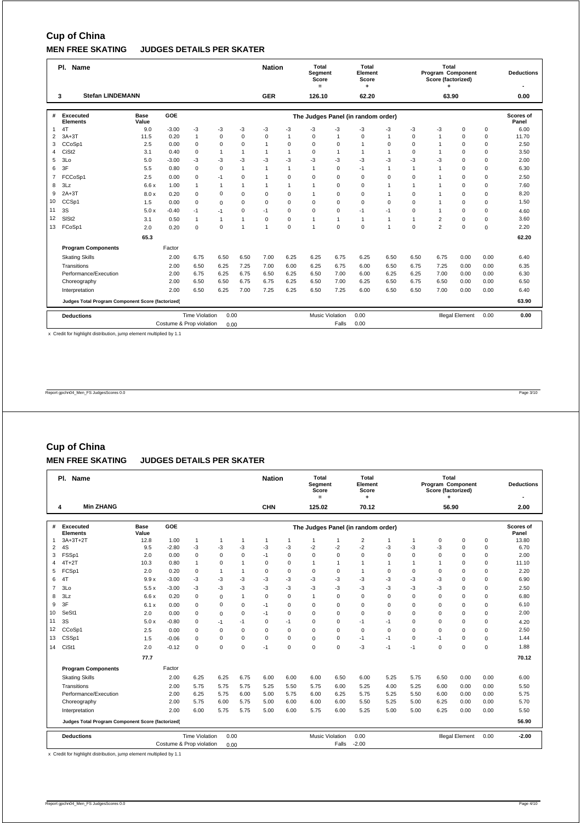# **Cup of China**

## **MEN FREE SKATING JUDGES DETAILS PER SKATER**

|              | Pl. Name                                          |                      |                          |                       |                |                | <b>Nation</b>  |              | Total<br>Segment<br>Score<br>$=$ |                        | Total<br>Element<br>Score          |                |                | Total<br>Program Component<br>Score (factorized)<br>٠ |                        |             | <b>Deductions</b>  |
|--------------|---------------------------------------------------|----------------------|--------------------------|-----------------------|----------------|----------------|----------------|--------------|----------------------------------|------------------------|------------------------------------|----------------|----------------|-------------------------------------------------------|------------------------|-------------|--------------------|
|              | <b>Stefan LINDEMANN</b><br>3                      |                      |                          |                       |                |                | <b>GER</b>     |              | 126.10                           |                        | 62.20                              |                |                | 63.90                                                 |                        |             | 0.00               |
| #            | Excecuted<br><b>Elements</b>                      | <b>Base</b><br>Value | GOE                      |                       |                |                |                |              |                                  |                        | The Judges Panel (in random order) |                |                |                                                       |                        |             | Scores of<br>Panel |
| $\mathbf{1}$ | 4T                                                | 9.0                  | $-3.00$                  | $-3$                  | -3             | -3             | -3             | -3           | -3                               | $-3$                   | -3                                 | $-3$           | -3             | $-3$                                                  | $\mathbf 0$            | 0           | 6.00               |
| 2            | $3A+3T$                                           | 11.5                 | 0.20                     | $\mathbf{1}$          | $\mathbf 0$    | $\mathbf 0$    | $\Omega$       | $\mathbf{1}$ | $\Omega$                         | $\mathbf{1}$           | $\Omega$                           | $\mathbf{1}$   | $\Omega$       | $\overline{1}$                                        | $\Omega$               | $\mathbf 0$ | 11.70              |
| 3            | CCoSp1                                            | 2.5                  | 0.00                     | $\mathbf 0$           | $\mathbf 0$    | $\mathbf 0$    | $\overline{1}$ | 0            | $\mathbf 0$                      | $\mathbf 0$            | $\mathbf{1}$                       | $\mathbf 0$    | 0              | $\overline{1}$                                        | $\mathbf 0$            | $\mathbf 0$ | 2.50               |
| 4            | CiSt <sub>2</sub>                                 | 3.1                  | 0.40                     | $\mathbf 0$           | $\overline{1}$ | $\overline{1}$ | $\mathbf{1}$   | $\mathbf{1}$ | $\Omega$                         | $\mathbf{1}$           | $\mathbf{1}$                       | $\mathbf{1}$   | $\Omega$       | $\overline{1}$                                        | $\Omega$               | $\mathbf 0$ | 3.50               |
| 5            | 3Lo                                               | 5.0                  | $-3.00$                  | $-3$                  | $-3$           | $-3$           | -3             | $-3$         | $-3$                             | $-3$                   | $-3$                               | -3             | -3             | -3                                                    | $\Omega$               | $\mathbf 0$ | 2.00               |
| 6            | 3F                                                | 5.5                  | 0.80                     | $\mathbf 0$           | $\mathbf 0$    | $\overline{1}$ | $\mathbf{1}$   | 1            | $\overline{1}$                   | $\mathbf 0$            | $-1$                               | $\mathbf{1}$   | $\overline{1}$ | $\overline{1}$                                        | $\Omega$               | $\mathbf 0$ | 6.30               |
| 7            | FCCoSp1                                           | 2.5                  | 0.00                     | $\Omega$              | $-1$           | $\Omega$       | $\mathbf{1}$   | 0            | $\mathbf 0$                      | $\mathbf 0$            | $\Omega$                           | $\Omega$       | $\Omega$       | $\overline{1}$                                        | $\Omega$               | $\mathsf 0$ | 2.50               |
| 8            | 3Lz                                               | 6.6x                 | 1.00                     | $\mathbf{1}$          | $\overline{1}$ | 1              | $\mathbf{1}$   | $\mathbf{1}$ | $\mathbf{1}$                     | $\Omega$               | $\Omega$                           | 1              | $\mathbf{1}$   | $\overline{1}$                                        | $\Omega$               | $\mathbf 0$ | 7.60               |
| 9            | $2A+3T$                                           | 8.0x                 | 0.20                     | $\mathbf 0$           | $\mathbf 0$    | $\Omega$       | $\Omega$       | $\mathbf 0$  | $\mathbf{1}$                     | $\mathbf 0$            | $\Omega$                           | 1              | 0              | $\overline{1}$                                        | $\Omega$               | $\mathbf 0$ | 8.20               |
| 10           | CCSp1                                             | 1.5                  | 0.00                     | $\mathbf 0$           | $\mathbf 0$    | $\mathbf 0$    | $\mathbf 0$    | 0            | $\mathbf 0$                      | $\mathbf 0$            | $\mathbf 0$                        | $\Omega$       | $\Omega$       | $\overline{1}$                                        | $\mathbf 0$            | $\mathbf 0$ | 1.50               |
| 11           | 3S                                                | 5.0x                 | $-0.40$                  | $-1$                  | $-1$           | $\Omega$       | -1             | 0            | $\Omega$                         | $\mathbf 0$            | $-1$                               | $-1$           | $\Omega$       | $\overline{1}$                                        | $\Omega$               | $\mathbf 0$ | 4.60               |
| 12           | SIS <sub>t2</sub>                                 | 3.1                  | 0.50                     | $\mathbf{1}$          | 1              | $\overline{1}$ | $\Omega$       | 0            | $\mathbf{1}$                     | $\mathbf{1}$           | $\mathbf{1}$                       | $\mathbf{1}$   | $\mathbf{1}$   | $\overline{2}$                                        | $\Omega$               | $\mathbf 0$ | 3.60               |
| 13           | FCoSp1                                            | 2.0                  | 0.20                     | $\mathbf 0$           | $\mathbf 0$    | 1              | $\mathbf{1}$   | 0            | $\overline{1}$                   | $\mathbf 0$            | $\Omega$                           | $\overline{1}$ | $\Omega$       | $\overline{2}$                                        | $\Omega$               | $\mathbf 0$ | 2.20               |
|              |                                                   | 65.3                 |                          |                       |                |                |                |              |                                  |                        |                                    |                |                |                                                       |                        |             | 62.20              |
|              | <b>Program Components</b>                         |                      | Factor                   |                       |                |                |                |              |                                  |                        |                                    |                |                |                                                       |                        |             |                    |
|              | <b>Skating Skills</b>                             |                      | 2.00                     | 6.75                  | 6.50           | 6.50           | 7.00           | 6.25         | 6.25                             | 6.75                   | 6.25                               | 6.50           | 6.50           | 6.75                                                  | 0.00                   | 0.00        | 6.40               |
|              | Transitions                                       |                      | 2.00                     | 6.50                  | 6.25           | 7.25           | 7.00           | 6.00         | 6.25                             | 6.75                   | 6.00                               | 6.50           | 6.75           | 7.25                                                  | 0.00                   | 0.00        | 6.35               |
|              | Performance/Execution                             |                      | 2.00                     | 6.75                  | 6.25           | 6.75           | 6.50           | 6.25         | 6.50                             | 7.00                   | 6.00                               | 6.25           | 6.25           | 7.00                                                  | 0.00                   | 0.00        | 6.30               |
|              | Choreography                                      |                      | 2.00                     | 6.50                  | 6.50           | 6.75           | 6.75           | 6.25         | 6.50                             | 7.00                   | 6.25                               | 6.50           | 6.75           | 6.50                                                  | 0.00                   | 0.00        | 6.50               |
|              | Interpretation                                    |                      | 2.00                     | 6.50                  | 6.25           | 7.00           | 7.25           | 6.25         | 6.50                             | 7.25                   | 6.00                               | 6.50           | 6.50           | 7.00                                                  | 0.00                   | 0.00        | 6.40               |
|              | Judges Total Program Component Score (factorized) |                      |                          |                       |                |                |                |              |                                  |                        |                                    |                |                |                                                       |                        |             | 63.90              |
|              | <b>Deductions</b>                                 |                      |                          | <b>Time Violation</b> | 0.00           |                |                |              |                                  | <b>Music Violation</b> | 0.00                               |                |                |                                                       | <b>Illegal Element</b> | 0.00        | 0.00               |
|              |                                                   |                      | Costume & Prop violation |                       | 0.00           |                |                |              |                                  | Falls                  | 0.00                               |                |                |                                                       |                        |             |                    |

x Credit for highlight distribution, jump element multiplied by 1.1

Report gpchn04\_Men\_FS JudgesScores 0.0 Page 3/10

## **Cup of China**

### **MEN FREE SKATING JUDGES DETAILS PER SKATER**

|                | Pl. Name                                          |               |                          |                       |                |                | <b>Nation</b>                                                                                                                        |                | <b>Total</b><br>Segment<br>Score<br>$=$ |                        | Total<br>Element<br>Score          |              |                | Total<br>Program Component<br>Score (factorized) |                        |             | <b>Deductions</b><br>٠    |
|----------------|---------------------------------------------------|---------------|--------------------------|-----------------------|----------------|----------------|--------------------------------------------------------------------------------------------------------------------------------------|----------------|-----------------------------------------|------------------------|------------------------------------|--------------|----------------|--------------------------------------------------|------------------------|-------------|---------------------------|
|                | <b>Min ZHANG</b><br>4                             |               |                          |                       |                |                | <b>CHN</b>                                                                                                                           |                | 125.02                                  |                        | 70.12                              |              |                | 56.90                                            |                        |             | 2.00                      |
| #              | Excecuted<br><b>Elements</b>                      | Base<br>Value | GOE                      |                       |                |                |                                                                                                                                      |                |                                         |                        | The Judges Panel (in random order) |              |                |                                                  |                        |             | <b>Scores of</b><br>Panel |
| 1              | $3A+3T+2T$                                        | 12.8          | 1.00                     | $\mathbf{1}$          | $\overline{1}$ | -1             | 1                                                                                                                                    | $\overline{1}$ | $\mathbf{1}$                            |                        | $\overline{\mathbf{c}}$            | $\mathbf{1}$ | $\overline{1}$ | 0                                                | 0                      | $\mathbf 0$ | 13.80                     |
| $\overline{c}$ | 4S                                                | 9.5           | $-2.80$                  | -3                    | $-3$           | $-3$           | $-3$                                                                                                                                 | $-3$           | $-2$                                    | $-2$                   | $-2$                               | $-3$         | -3             | $-3$                                             | $\mathbf 0$            | $\mathbf 0$ | 6.70                      |
| 3              | FSSp1                                             | 2.0           | 0.00                     | $\mathbf 0$           | $\mathbf 0$    | 0              | $-1$                                                                                                                                 | $\mathbf 0$    | $\mathbf 0$                             | $\Omega$               | $\mathbf 0$                        | $\mathbf 0$  | $\Omega$       | $\Omega$                                         | $\mathbf 0$            | $\mathbf 0$ | 2.00                      |
| 4              | $4T+2T$                                           | 10.3          | 0.80                     | $\mathbf{1}$          | $\mathbf 0$    | $\overline{1}$ | $\Omega$                                                                                                                             | $\mathbf 0$    | $\mathbf{1}$                            | $\overline{1}$         | 1                                  | $\mathbf{1}$ | $\overline{1}$ | $\overline{1}$                                   | $\Omega$               | $\mathbf 0$ | 11.10                     |
| 5              | FCSp1                                             | 2.0           | 0.20                     | 0                     | $\overline{1}$ | $\overline{1}$ | $\mathbf 0$<br>$\Omega$<br>$\mathbf 0$<br>$\mathbf 0$<br>$\Omega$<br>$\Omega$<br>$\Omega$<br>$\Omega$<br>$\mathbf 0$<br>$\mathbf{1}$ |                |                                         |                        |                                    |              |                |                                                  |                        |             | 2.20                      |
| 6              | 41                                                | 9.9x          | $-3.00$                  | -3                    | $-3$           | $-3$           | -3<br>-3<br>-3<br>$-3$<br>-3<br>-3<br>$-3$<br>$\mathbf 0$<br>-3<br>$\Omega$                                                          |                |                                         |                        |                                    |              |                |                                                  |                        |             | 6.90                      |
| $\overline{7}$ | 3 <sub>LO</sub>                                   | 5.5x          | $-3.00$                  | -3                    | $-3$           | $-3$           | $-3$<br>-3<br>-3<br>$-3$<br>-3<br>-3<br>-3<br>-3<br>$\mathbf 0$<br>$\Omega$                                                          |                |                                         |                        |                                    |              |                |                                                  |                        |             | 2.50                      |
| 8              | 3Lz                                               | 6.6x          | 0.20                     | 0                     | $\mathbf 0$    | 1              | $\mathbf 0$                                                                                                                          | $\mathbf 0$    | $\mathbf{1}$                            | $\mathbf 0$            | $\mathbf 0$                        | $\mathbf 0$  | $\Omega$       | $\Omega$                                         | $\mathbf 0$            | $\mathbf 0$ | 6.80                      |
| 9              | 3F                                                | 6.1x          | 0.00                     | 0                     | $\mathbf 0$    | 0              | $-1$                                                                                                                                 | $\mathbf 0$    | $\mathbf 0$                             | $\mathbf 0$            | $\Omega$                           | $\Omega$     | $\Omega$       | $\Omega$                                         | $\mathbf 0$            | $\mathbf 0$ | 6.10                      |
| 10             | SeSt1                                             | 2.0           | 0.00                     | 0                     | $\Omega$       | $\Omega$       | $-1$                                                                                                                                 | $\mathbf 0$    | $\Omega$                                | $\Omega$               | $\Omega$                           | $\Omega$     | $\Omega$       | $\Omega$                                         | $\Omega$               | $\mathbf 0$ | 2.00                      |
| 11             | 3S                                                | 5.0x          | $-0.80$                  | 0                     | $-1$           | $-1$           | $\Omega$                                                                                                                             | $-1$           | $\mathbf 0$                             | $\mathbf 0$            | $-1$                               | $-1$         | $\Omega$       | $\Omega$                                         | $\Omega$               | $\mathbf 0$ | 4.20                      |
| 12             | CCoSp1                                            | 2.5           | 0.00                     | 0                     | $\mathbf 0$    | $\Omega$       | $\Omega$                                                                                                                             | $\mathbf 0$    | $\Omega$                                | $\Omega$               | $\Omega$                           | $\Omega$     | $\Omega$       | $\Omega$                                         | $\Omega$               | $\mathbf 0$ | 2.50                      |
| 13             | CSSp1                                             | 1.5           | $-0.06$                  | 0                     | 0              | 0              | $\Omega$                                                                                                                             | $\mathbf 0$    | $\mathbf 0$                             | $\mathbf 0$            | $-1$                               | $-1$         | $\Omega$       | $-1$                                             | $\Omega$               | $\mathbf 0$ | 1.44                      |
| 14             | CiSt1                                             | 2.0           | $-0.12$                  | 0                     | $\Omega$       | $\Omega$       | -1                                                                                                                                   | $\mathbf 0$    | $\mathbf 0$                             | $\Omega$               | -3                                 | $-1$         | $-1$           | $\Omega$                                         | $\Omega$               | $\mathbf 0$ | 1.88                      |
|                |                                                   | 77.7          |                          |                       |                |                |                                                                                                                                      |                |                                         |                        |                                    |              |                |                                                  |                        |             | 70.12                     |
|                | <b>Program Components</b>                         |               | Factor                   |                       |                |                |                                                                                                                                      |                |                                         |                        |                                    |              |                |                                                  |                        |             |                           |
|                | <b>Skating Skills</b>                             |               | 2.00                     | 6.25                  | 6.25           | 6.75           | 6.00                                                                                                                                 | 6.00           | 6.00                                    | 6.50                   | 6.00                               | 5.25         | 5.75           | 6.50                                             | 0.00                   | 0.00        | 6.00                      |
|                | Transitions                                       |               | 2.00                     | 5.75                  | 5.75           | 5.75           | 5.25                                                                                                                                 | 5.50           | 5.75                                    | 6.00                   | 5.25                               | 4.00         | 5.25           | 6.00                                             | 0.00                   | 0.00        | 5.50                      |
|                | Performance/Execution                             |               | 2.00                     | 6.25                  | 5.75           | 6.00           | 5.00                                                                                                                                 | 5.75           | 6.00                                    | 6.25                   | 5.75                               | 5.25         | 5.50           | 6.00                                             | 0.00                   | 0.00        | 5.75                      |
|                | Choreography                                      |               | 2.00                     | 5.75                  | 6.00           | 5.75           | 5.00                                                                                                                                 | 6.00           | 6.00                                    | 6.00                   | 5.50                               | 5.25         | 5.00           | 6.25                                             | 0.00                   | 0.00        | 5.70                      |
|                | Interpretation                                    |               | 2.00                     | 6.00                  | 5.75           | 5.75           | 5.00                                                                                                                                 | 6.00           | 5.75                                    | 6.00                   | 5.25                               | 5.00         | 5.00           | 6.25                                             | 0.00                   | 0.00        | 5.50                      |
|                | Judges Total Program Component Score (factorized) |               |                          |                       |                |                |                                                                                                                                      |                |                                         |                        |                                    |              |                |                                                  |                        |             | 56.90                     |
|                | <b>Deductions</b>                                 |               |                          | <b>Time Violation</b> | 0.00           |                |                                                                                                                                      |                |                                         | <b>Music Violation</b> | 0.00                               |              |                |                                                  | <b>Illegal Element</b> | 0.00        | $-2.00$                   |
|                |                                                   |               | Costume & Prop violation |                       | 0.00           |                |                                                                                                                                      |                |                                         | Falls                  | $-2.00$                            |              |                |                                                  |                        |             |                           |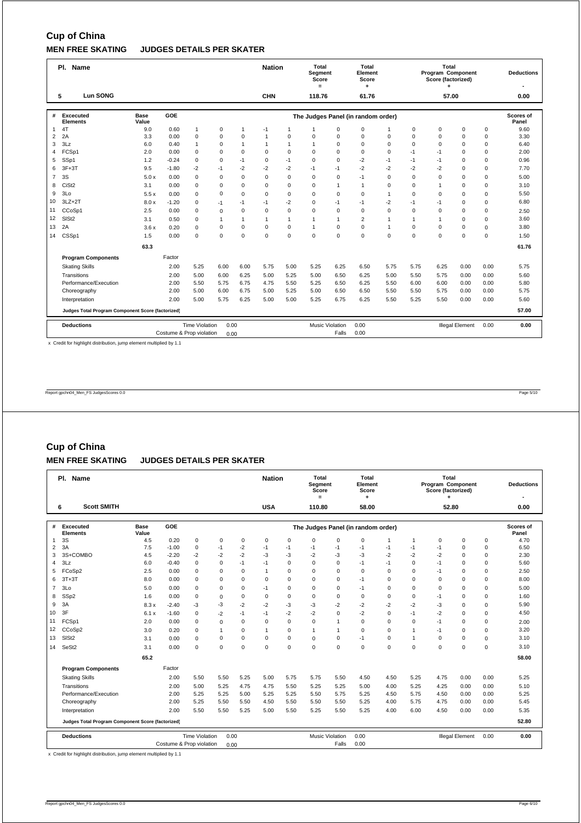## **Cup of China MEN FREE SKATING JUDGES DETAILS PER SKATER**

|                | Pl. Name                                          |                      |                          |                       |              |                | <b>Nation</b> |              | Total<br><b>Segment</b><br>Score<br>$=$ |                        | Total<br>Element<br>Score          |              |              | Total<br>Program Component<br>Score (factorized)<br>٠ |                        |             | <b>Deductions</b>  |
|----------------|---------------------------------------------------|----------------------|--------------------------|-----------------------|--------------|----------------|---------------|--------------|-----------------------------------------|------------------------|------------------------------------|--------------|--------------|-------------------------------------------------------|------------------------|-------------|--------------------|
|                | <b>Lun SONG</b><br>5                              |                      |                          |                       |              |                | <b>CHN</b>    |              | 118.76                                  |                        | 61.76                              |              |              | 57.00                                                 |                        |             | 0.00               |
| #              | Excecuted<br>Elements                             | <b>Base</b><br>Value | GOE                      |                       |              |                |               |              |                                         |                        | The Judges Panel (in random order) |              |              |                                                       |                        |             | Scores of<br>Panel |
| 1              | 4T                                                | 9.0                  | 0.60                     | $\mathbf{1}$          | 0            | 1              | $-1$          | 1            | 1                                       | $\mathbf 0$            | $\mathbf 0$                        | 1            | 0            | $\mathbf 0$                                           | $\mathbf 0$            | $\mathbf 0$ | 9.60               |
| 2              | 2A                                                | 3.3                  | 0.00                     | $\mathbf 0$           | $\mathbf 0$  | $\mathbf 0$    | $\mathbf{1}$  | 0            | $\Omega$                                | $\Omega$               | $\mathbf 0$                        | $\mathbf 0$  | 0            | $\Omega$                                              | $\mathbf 0$            | $\mathbf 0$ | 3.30               |
| 3              | 3Lz                                               | 6.0                  | 0.40                     | $\mathbf{1}$          | $\mathbf 0$  | $\overline{1}$ | $\mathbf{1}$  | $\mathbf{1}$ | $\mathbf{1}$                            | $\mathbf 0$            | $\mathbf 0$                        | $\mathbf 0$  | 0            | $\Omega$                                              | $\mathbf 0$            | $\mathbf 0$ | 6.40               |
| 4              | FCSp1                                             | 2.0                  | 0.00                     | $\Omega$              | 0            | $\mathbf 0$    | $\Omega$      | 0            | $\Omega$                                | $\Omega$               | $\Omega$                           | $\Omega$     | $-1$         | $-1$                                                  | $\Omega$               | $\mathbf 0$ | 2.00               |
| 5              | SSp1                                              | 1.2                  | $-0.24$                  | $\mathbf 0$           | $\mathbf 0$  | $-1$           | $\mathbf 0$   | $-1$         | $\mathbf 0$                             | $\mathbf 0$            | $-2$                               | $-1$         | $-1$         | $-1$                                                  | $\mathbf 0$            | $\mathbf 0$ | 0.96               |
| 6              | $3F+3T$                                           | 9.5                  | $-1.80$                  | $-2$                  | $-1$         | $-2$           | $-2$          | $-2$         | $-1$                                    | $-1$                   | $-2$                               | $-2$         | $-2$         | $-2$                                                  | $\Omega$               | $\mathbf 0$ | 7.70               |
| $\overline{7}$ | 3S                                                | 5.0x                 | 0.00                     | $\mathbf 0$           | $\mathbf 0$  | $\mathbf 0$    | $\mathbf 0$   | 0            | $\mathbf 0$                             | $\mathbf 0$            | $-1$                               | $\mathbf 0$  | 0            | $\Omega$                                              | $\mathbf 0$            | $\mathbf 0$ | 5.00               |
| 8              | CiSt <sub>2</sub>                                 | 3.1                  | 0.00                     | $\mathbf 0$           | $\mathbf 0$  | $\mathbf 0$    | $\mathbf 0$   | 0            | $\mathbf 0$                             | $\mathbf{1}$           | $\mathbf{1}$                       | $\mathbf 0$  | 0            | $\overline{1}$                                        | $\mathbf 0$            | $\mathbf 0$ | 3.10               |
| 9              | 3Lo                                               | 5.5x                 | 0.00                     | $\mathbf 0$           | $\mathbf 0$  | $\mathbf 0$    | $\mathbf 0$   | 0            | $\mathbf 0$                             | $\mathbf 0$            | $\mathbf 0$                        | 1            | 0            | $\Omega$                                              | $\mathbf 0$            | $\mathbf 0$ | 5.50               |
| 10             | $3LZ+2T$                                          | 8.0x                 | $-1.20$                  | $\mathbf 0$           | $-1$         | $-1$           | $-1$          | $-2$         | $\Omega$                                | $-1$                   | $-1$                               | $-2$         | $-1$         | $-1$                                                  | $\Omega$               | $\mathbf 0$ | 6.80               |
| 11             | CCoSp1                                            | 2.5                  | 0.00                     | $\mathbf 0$           | $\mathbf 0$  | $\mathbf 0$    | $\Omega$      | 0            | $\Omega$                                | $\mathbf 0$            | $\Omega$                           | $\Omega$     | $\Omega$     | $\Omega$                                              | $\Omega$               | $\mathbf 0$ | 2.50               |
| 12             | SIS <sub>t2</sub>                                 | 3.1                  | 0.50                     | $\mathbf 0$           | $\mathbf{1}$ | 1              | 1             | $\mathbf{1}$ | $\mathbf{1}$                            | $\mathbf{1}$           | $\overline{2}$                     | $\mathbf{1}$ | $\mathbf{1}$ | $\overline{1}$                                        | $\mathbf 0$            | $\mathbf 0$ | 3.60               |
| 13             | 2A                                                | 3.6x                 | 0.20                     | $\Omega$              | $\mathbf 0$  | $\Omega$       | $\Omega$      | 0            | $\overline{1}$                          | $\mathbf 0$            | $\Omega$                           | $\mathbf{1}$ | $\Omega$     | $\Omega$                                              | $\Omega$               | $\mathbf 0$ | 3.80               |
| 14             | CSSp1                                             | 1.5                  | 0.00                     | $\mathbf 0$           | $\Omega$     | $\Omega$       | $\Omega$      | 0            | $\Omega$                                | $\mathbf 0$            | $\Omega$                           | $\Omega$     | $\Omega$     | $\Omega$                                              | $\Omega$               | $\mathbf 0$ | 1.50               |
|                |                                                   | 63.3                 |                          |                       |              |                |               |              |                                         |                        |                                    |              |              |                                                       |                        |             | 61.76              |
|                | <b>Program Components</b>                         |                      | Factor                   |                       |              |                |               |              |                                         |                        |                                    |              |              |                                                       |                        |             |                    |
|                | <b>Skating Skills</b>                             |                      | 2.00                     | 5.25                  | 6.00         | 6.00           | 5.75          | 5.00         | 5.25                                    | 6.25                   | 6.50                               | 5.75         | 5.75         | 6.25                                                  | 0.00                   | 0.00        | 5.75               |
|                | Transitions                                       |                      | 2.00                     | 5.00                  | 6.00         | 6.25           | 5.00          | 5.25         | 5.00                                    | 6.50                   | 6.25                               | 5.00         | 5.50         | 5.75                                                  | 0.00                   | 0.00        | 5.60               |
|                | Performance/Execution                             |                      | 2.00                     | 5.50                  | 5.75         | 6.75           | 4.75          | 5.50         | 5.25                                    | 6.50                   | 6.25                               | 5.50         | 6.00         | 6.00                                                  | 0.00                   | 0.00        | 5.80               |
|                | Choreography                                      |                      | 2.00                     | 5.00                  | 6.00         | 6.75           | 5.00          | 5.25         | 5.00                                    | 6.50                   | 6.50                               | 5.50         | 5.50         | 5.75                                                  | 0.00                   | 0.00        | 5.75               |
|                | Interpretation                                    | 5.00                 | 5.00                     | 5.25                  | 6.75         | 6.25           | 5.50          | 5.25         | 5.50                                    | 0.00                   | 0.00                               | 5.60         |              |                                                       |                        |             |                    |
|                | Judges Total Program Component Score (factorized) |                      |                          |                       |              |                |               |              |                                         |                        |                                    |              |              |                                                       |                        |             | 57.00              |
|                | <b>Deductions</b>                                 |                      |                          | <b>Time Violation</b> | 0.00         |                |               |              |                                         | <b>Music Violation</b> | 0.00                               |              |              |                                                       | <b>Illegal Element</b> | 0.00        | 0.00               |
|                |                                                   |                      | Costume & Prop violation |                       | 0.00         |                |               |              |                                         | Falls                  | 0.00                               |              |              |                                                       |                        |             |                    |

x Credit for highlight distribution, jump element multiplied by 1.1

Report gpchn04\_Men\_FS JudgesScores 0.0 Page 5/10

## **Cup of China**

### **MEN FREE SKATING JUDGES DETAILS PER SKATER**

|                | Pl. Name                                               |               |                          |                       |              |             | <b>Nation</b>                                                                                                                                                                    |      | Total<br>Segment<br>Score<br>$=$ |                 | Total<br>Element<br>Score<br>٠     |              |              | Total<br><b>Program Component</b><br>Score (factorized) |                        |          | <b>Deductions</b>  |
|----------------|--------------------------------------------------------|---------------|--------------------------|-----------------------|--------------|-------------|----------------------------------------------------------------------------------------------------------------------------------------------------------------------------------|------|----------------------------------|-----------------|------------------------------------|--------------|--------------|---------------------------------------------------------|------------------------|----------|--------------------|
|                | <b>Scott SMITH</b><br>6                                |               |                          |                       |              |             | <b>USA</b>                                                                                                                                                                       |      | 110.80                           |                 | 58.00                              |              |              | 52.80                                                   |                        |          | 0.00               |
| #              | Excecuted<br><b>Elements</b>                           | Base<br>Value | GOE                      |                       |              |             |                                                                                                                                                                                  |      |                                  |                 | The Judges Panel (in random order) |              |              |                                                         |                        |          | Scores of<br>Panel |
| $\mathbf{1}$   | 3S                                                     | 4.5           | 0.20                     | $\mathbf 0$           | $\mathbf 0$  | 0           | $\mathbf 0$                                                                                                                                                                      | 0    | $\mathbf 0$                      | $\mathbf 0$     | $\mathbf 0$                        | $\mathbf{1}$ | $\mathbf{1}$ | 0                                                       | $\Omega$               | 0        | 4.70               |
| $\overline{2}$ | 3A                                                     | 7.5           | $-1.00$                  | $\mathbf 0$           | $-1$         | $-2$        | $-1$                                                                                                                                                                             | $-1$ | $-1$                             | $-1$            | $-1$                               | $-1$         | $-1$         | $-1$                                                    | $\Omega$               | 0        | 6.50               |
| 3              | 3S+COMBO                                               | 4.5           | $-2.20$                  | $-2$                  | $-2$         | $-2$        | $-3$                                                                                                                                                                             | $-3$ | $-2$                             | $-3$            | $-3$                               | $-2$         | $-2$         | $-2$                                                    | $\Omega$               | 0        | 2.30               |
| $\overline{4}$ | 3Lz                                                    | 6.0           | $-0.40$                  | $\mathbf 0$           | 0            | $-1$        | $-1$                                                                                                                                                                             | 0    | $\Omega$                         | $\mathbf 0$     | $-1$                               | $-1$         | $\Omega$     | $-1$                                                    | $\Omega$               | 0        | 5.60               |
| 5              | FCoSp2                                                 | 2.5           | 0.00                     | $\mathbf 0$           | $\mathbf 0$  | $\mathbf 0$ | 0<br>$\mathbf 0$<br>$\mathbf 0$<br>$\Omega$<br>$\Omega$<br>$\Omega$<br>$-1$<br>0<br>$\mathbf{1}$<br>$\Omega$<br>$\Omega$<br>$\Omega$<br>$\Omega$<br>$\Omega$<br>$\Omega$<br>$-1$ |      |                                  |                 |                                    |              |              |                                                         | 2.50                   |          |                    |
| 6              | $3T+3T$                                                | 8.0           | 0.00                     | $\mathbf 0$           | $\mathbf 0$  | $\Omega$    |                                                                                                                                                                                  | 0    | $\mathbf 0$                      | $\mathbf 0$     |                                    |              |              |                                                         |                        | 0        | 8.00               |
| $\overline{7}$ | 3 <sub>LO</sub>                                        | 5.0           | 0.00                     | $\mathbf 0$           | $\mathbf 0$  | $\mathbf 0$ | -1                                                                                                                                                                               | 0    | $\mathbf 0$                      | $\mathbf 0$     | $-1$                               | $\Omega$     | $\Omega$     | $\Omega$                                                | $\Omega$               | 0        | 5.00               |
| 8              | SSp2                                                   | 1.6           | 0.00                     | $\mathbf 0$           | $\mathbf 0$  | $\mathbf 0$ | 0<br>$\mathbf 0$<br>$\mathbf 0$<br>$\mathbf 0$<br>$\mathbf 0$<br>$\mathbf 0$<br>$\mathbf 0$<br>0<br>$-1$<br>$\Omega$                                                             |      |                                  |                 |                                    |              |              |                                                         |                        | 1.60     |                    |
| 9              | 3A                                                     | 8.3x          | $-2.40$                  | -3                    | -3           | $-2$        | $-2$                                                                                                                                                                             | -3   | -3                               | $-2$            | $-2$                               | $-2$         | $-2$         | $-3$                                                    | $\Omega$               | 0        | 5.90               |
| 10             | 3F                                                     | 6.1x          | $-1.60$                  | $\mathbf 0$           | $-2$         | $-1$        | $-1$                                                                                                                                                                             | $-2$ | $-2$                             | $\mathbf 0$     | $-2$                               | 0            | $-1$         | $-2$                                                    | $\Omega$               | 0        | 4.50               |
| 11             | FCSp1                                                  | 2.0           | 0.00                     | $\mathbf 0$           | $\mathbf 0$  | $\mathbf 0$ | $\Omega$                                                                                                                                                                         | 0    | $\mathbf 0$                      | $\overline{1}$  | $\mathbf 0$                        | 0            | $\mathbf 0$  | $-1$                                                    | $\Omega$               | 0        | 2.00               |
| 12             | CCoSp2                                                 | 3.0           | 0.20                     | $\mathbf 0$           | $\mathbf{1}$ | $\mathbf 0$ | $\mathbf{1}$                                                                                                                                                                     | 0    | $\mathbf{1}$                     | $\overline{1}$  | $\mathbf 0$                        | $\Omega$     | $\mathbf{1}$ | $-1$                                                    | $\Omega$               | 0        | 3.20               |
| 13             | SIS <sub>t2</sub>                                      | 3.1           | 0.00                     | $\Omega$              | $\mathbf 0$  | $\mathbf 0$ | $\mathbf 0$                                                                                                                                                                      | 0    | $\mathbf 0$                      | $\mathbf 0$     | $-1$                               | $\mathbf 0$  | $\mathbf{1}$ | $\Omega$                                                | 0                      | $\Omega$ | 3.10               |
| 14             | SeSt <sub>2</sub>                                      | 3.1           | 0.00                     | $\mathbf 0$           | $\mathbf 0$  | $\mathbf 0$ | $\Omega$                                                                                                                                                                         | 0    | $\mathbf 0$                      | $\mathbf 0$     | $\mathbf 0$                        | $\mathbf 0$  | $\mathbf 0$  | 0                                                       | $\Omega$               | 0        | 3.10               |
|                |                                                        | 65.2          |                          |                       |              |             |                                                                                                                                                                                  |      |                                  |                 |                                    |              |              |                                                         |                        |          | 58.00              |
|                | <b>Program Components</b>                              |               | Factor                   |                       |              |             |                                                                                                                                                                                  |      |                                  |                 |                                    |              |              |                                                         |                        |          |                    |
|                | <b>Skating Skills</b>                                  |               | 2.00                     | 5.50                  | 5.50         | 5.25        | 5.00                                                                                                                                                                             | 5.75 | 5.75                             | 5.50            | 4.50                               | 4.50         | 5.25         | 4.75                                                    | 0.00                   | 0.00     | 5.25               |
|                | Transitions                                            |               | 2.00                     | 5.00                  | 5.25         | 4.75        | 4.75                                                                                                                                                                             | 5.50 | 5.25                             | 5.25            | 5.00                               | 4.00         | 5.25         | 4.25                                                    | 0.00                   | 0.00     | 5.10               |
|                | Performance/Execution                                  |               | 2.00                     | 5.25                  | 5.25         | 5.00        | 5.25                                                                                                                                                                             | 5.25 | 5.50                             | 5.75            | 5.25                               | 4.50         | 5.75         | 4.50                                                    | 0.00                   | 0.00     | 5.25               |
|                | Choreography                                           |               | 2.00                     | 5.25                  | 5.50         | 5.50        | 4.50                                                                                                                                                                             | 5.50 | 5.50                             | 5.50            | 5.25                               | 4.00         | 5.75         | 4.75                                                    | 0.00                   | 0.00     | 5.45               |
|                | Interpretation<br>2.00<br>5.50<br>5.50<br>5.25<br>5.00 |               |                          |                       |              |             |                                                                                                                                                                                  |      |                                  | 5.50            | 5.25                               | 4.00         | 6.00         | 4.50                                                    | 0.00                   | 0.00     | 5.35               |
|                | Judges Total Program Component Score (factorized)      |               |                          |                       |              |             |                                                                                                                                                                                  |      |                                  |                 | 52.80                              |              |              |                                                         |                        |          |                    |
|                | <b>Deductions</b>                                      |               |                          | <b>Time Violation</b> | 0.00         |             |                                                                                                                                                                                  |      |                                  | Music Violation | 0.00                               |              |              |                                                         | <b>Illegal Element</b> | 0.00     | 0.00               |
|                |                                                        |               | Costume & Prop violation |                       | 0.00         |             |                                                                                                                                                                                  |      |                                  | Falls           | 0.00                               |              |              |                                                         |                        |          |                    |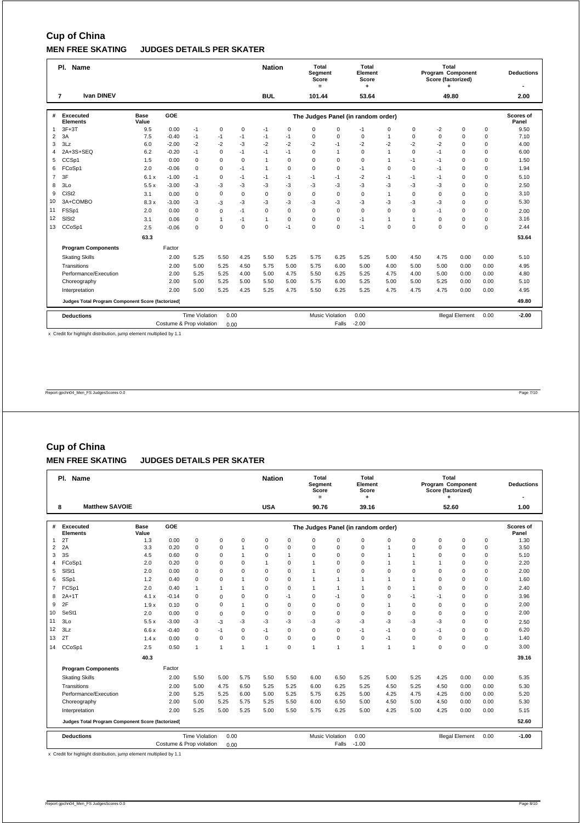## **Cup of China MEN FREE SKATING JUDGES DETAILS PER SKATER**

|                | Pl. Name                                          |                      |                          |                       |             |          | <b>Nation</b> |             | Total<br>Segment<br>Score<br>$=$ |                        | Total<br>Element<br>Score          |              |              | Total<br>Program Component<br>Score (factorized)<br>٠ |                        |             | <b>Deductions</b>  |
|----------------|---------------------------------------------------|----------------------|--------------------------|-----------------------|-------------|----------|---------------|-------------|----------------------------------|------------------------|------------------------------------|--------------|--------------|-------------------------------------------------------|------------------------|-------------|--------------------|
|                | <b>Ivan DINEV</b><br>$\overline{7}$               |                      |                          |                       |             |          | <b>BUL</b>    |             | 101.44                           |                        | 53.64                              |              |              | 49.80                                                 |                        |             | 2.00               |
| #              | Excecuted<br><b>Elements</b>                      | <b>Base</b><br>Value | GOE                      |                       |             |          |               |             |                                  |                        | The Judges Panel (in random order) |              |              |                                                       |                        |             | Scores of<br>Panel |
| $\mathbf{1}$   | $3F+3T$                                           | 9.5                  | 0.00                     | $-1$                  | $\mathbf 0$ | 0        | $-1$          | 0           | 0                                | $\mathbf 0$            | $-1$                               | 0            | 0            | $-2$                                                  | $\mathbf 0$            | 0           | 9.50               |
| $\overline{2}$ | 3A                                                | 7.5                  | $-0.40$                  | $-1$                  | $-1$        | $-1$     | $-1$          | $-1$        | $\mathbf 0$                      | $\mathbf 0$            | $\Omega$                           | $\mathbf{1}$ | $\Omega$     | $\Omega$                                              | $\mathbf 0$            | $\mathbf 0$ | 7.10               |
| 3              | 3Lz                                               | 6.0                  | $-2.00$                  | $-2$                  | $-2$        | $-3$     | $-2$          | $-2$        | $-2$                             | $-1$                   | $-2$                               | $-2$         | $-2$         | $-2$                                                  | $\mathbf 0$            | $\mathbf 0$ | 4.00               |
| 4              | 2A+3S+SEO                                         | 6.2                  | $-0.20$                  | $-1$                  | $\mathbf 0$ | $-1$     | $-1$          | $-1$        | $\Omega$                         | $\mathbf{1}$           | $\Omega$                           | 1            | $\Omega$     | $-1$                                                  | $\Omega$               | $\mathbf 0$ | 6.00               |
| 5              | CCSp1                                             | 1.5                  | 0.00                     | $\mathbf 0$           | $\mathbf 0$ | $\Omega$ | $\mathbf{1}$  | 0           | $\mathbf 0$                      | $\mathbf 0$            | $\Omega$                           | 1            | $-1$         | $-1$                                                  | 0                      | 0           | 1.50               |
| 6              | FCoSp1                                            | 2.0                  | $-0.06$                  | $\mathbf 0$           | $\mathbf 0$ | $-1$     | $\mathbf{1}$  | 0           | $\mathbf 0$                      | $\mathbf 0$            | $-1$                               | 0            | 0            | $-1$                                                  | 0                      | $\mathbf 0$ | 1.94               |
| $\overline{7}$ | 3F                                                | 6.1x                 | $-1.00$                  | $-1$                  | $\mathbf 0$ | $-1$     | $-1$          | $-1$        | $-1$                             | $-1$                   | $-2$                               | $-1$         | $-1$         | $-1$                                                  | $\Omega$               | $\mathsf 0$ | 5.10               |
| 8              | 3Lo                                               | 5.5x                 | $-3.00$                  | $-3$                  | -3          | -3       | -3            | -3          | -3                               | $-3$                   | $-3$                               | $-3$         | $-3$         | -3                                                    | $\Omega$               | $\mathbf 0$ | 2.50               |
| 9              | CiSt <sub>2</sub>                                 | 3.1                  | 0.00                     | $\mathbf 0$           | $\mathbf 0$ | $\Omega$ | $\Omega$      | $\mathbf 0$ | $\mathbf 0$                      | $\mathbf 0$            | $\Omega$                           | $\mathbf{1}$ | 0            | $\Omega$                                              | $\Omega$               | $\mathbf 0$ | 3.10               |
| 10             | 3A+COMBO                                          | 8.3x                 | $-3.00$                  | $-3$                  | $-3$        | $-3$     | -3            | -3          | -3                               | $-3$                   | -3                                 | -3           | -3           | $-3$                                                  | $\mathbf 0$            | $\mathbf 0$ | 5.30               |
| 11             | FSSp1                                             | 2.0                  | 0.00                     | $\Omega$              | $\Omega$    | $-1$     | $\Omega$      | 0           | $\Omega$                         | $\mathbf 0$            | $\Omega$                           | $\Omega$     | $\Omega$     | $-1$                                                  | $\Omega$               | $\mathbf 0$ | 2.00               |
| 12             | SIS <sub>t2</sub>                                 | 3.1                  | 0.06                     | $\Omega$              | 1           | $-1$     | $\mathbf{1}$  | 0           | $\mathbf 0$                      | $\mathbf 0$            | $-1$                               | $\mathbf{1}$ | $\mathbf{1}$ | $\Omega$                                              | $\Omega$               | $\mathbf 0$ | 3.16               |
| 13             | CCoSp1                                            | 2.5                  | $-0.06$                  | $\Omega$              | $\mathbf 0$ | $\Omega$ | $\Omega$      | $-1$        | $\Omega$                         | $\mathbf 0$            | $-1$                               | $\Omega$     | $\Omega$     | $\Omega$                                              | $\Omega$               | $\mathbf 0$ | 2.44               |
|                |                                                   | 63.3                 |                          |                       |             |          |               |             |                                  |                        |                                    |              |              |                                                       |                        |             | 53.64              |
|                | <b>Program Components</b>                         |                      | Factor                   |                       |             |          |               |             |                                  |                        |                                    |              |              |                                                       |                        |             |                    |
|                | <b>Skating Skills</b>                             |                      | 2.00                     | 5.25                  | 5.50        | 4.25     | 5.50          | 5.25        | 5.75                             | 6.25                   | 5.25                               | 5.00         | 4.50         | 4.75                                                  | 0.00                   | 0.00        | 5.10               |
|                | Transitions                                       |                      | 2.00                     | 5.00                  | 5.25        | 4.50     | 5.75          | 5.00        | 5.75                             | 6.00                   | 5.00                               | 4.00         | 5.00         | 5.00                                                  | 0.00                   | 0.00        | 4.95               |
|                | Performance/Execution                             |                      | 2.00                     | 5.25                  | 5.25        | 4.00     | 5.00          | 4.75        | 5.50                             | 6.25                   | 5.25                               | 4.75         | 4.00         | 5.00                                                  | 0.00                   | 0.00        | 4.80               |
|                | Choreography                                      |                      | 2.00                     | 5.00                  | 5.25        | 5.00     | 5.50          | 5.00        | 5.75                             | 6.00                   | 5.25                               | 5.00         | 5.00         | 5.25                                                  | 0.00                   | 0.00        | 5.10               |
|                | Interpretation                                    |                      | 2.00                     | 5.00                  | 5.25        | 4.25     | 5.25          | 4.75        | 5.50                             | 6.25                   | 5.25                               | 4.75         | 4.75         | 4.75                                                  | 0.00                   | 0.00        | 4.95               |
|                | Judges Total Program Component Score (factorized) |                      |                          |                       |             |          |               |             |                                  |                        |                                    |              |              |                                                       |                        |             | 49.80              |
|                | <b>Deductions</b>                                 |                      |                          | <b>Time Violation</b> | 0.00        |          |               |             |                                  | <b>Music Violation</b> | 0.00                               |              |              |                                                       | <b>Illegal Element</b> | 0.00        | $-2.00$            |
|                |                                                   |                      | Costume & Prop violation |                       | 0.00        |          |               |             |                                  | Falls                  | $-2.00$                            |              |              |                                                       |                        |             |                    |

x Credit for highlight distribution, jump element multiplied by 1.1

Report gpchn04\_Men\_FS JudgesScores 0.0 Page 7/10

## **Cup of China**

### **MEN FREE SKATING JUDGES DETAILS PER SKATER**

|                | Pl. Name                                          |                      |                          |                       |                |                | <b>Nation</b>        |                | <b>Total</b><br>Segment<br>Score<br>$\equiv$ |              | Total<br>Element<br>Score<br>٠     |              |              | Total<br>Program Component<br>Score (factorized)<br>÷ |                        |             | <b>Deductions</b>  |
|----------------|---------------------------------------------------|----------------------|--------------------------|-----------------------|----------------|----------------|----------------------|----------------|----------------------------------------------|--------------|------------------------------------|--------------|--------------|-------------------------------------------------------|------------------------|-------------|--------------------|
|                | <b>Matthew SAVOIE</b><br>8                        |                      |                          |                       |                |                | <b>USA</b>           |                | 90.76                                        |              | 39.16                              |              |              | 52.60                                                 |                        |             | 1.00               |
| #              | Excecuted<br><b>Elements</b>                      | <b>Base</b><br>Value | GOE                      |                       |                |                |                      |                |                                              |              | The Judges Panel (in random order) |              |              |                                                       |                        |             | Scores of<br>Panel |
| 1              | 2T                                                | 1.3                  | 0.00                     | 0                     | 0              | $\mathbf 0$    | 0                    | 0              | $\mathbf 0$                                  | 0            | $\mathbf 0$                        | $\Omega$     | 0            | 0                                                     | $\mathbf 0$            | 0           | 1.30               |
| $\overline{2}$ | 2A                                                | 3.3                  | 0.20                     | 0                     | 0              | $\mathbf{1}$   | 0                    | 0              | $\Omega$                                     | $\Omega$     | $\mathbf 0$                        | 1            | $\Omega$     | $\Omega$                                              | $\mathbf 0$            | $\mathbf 0$ | 3.50               |
| 3              | 3S                                                | 4.5                  | 0.60                     | 0                     | 0              | 1              | 0                    | $\overline{1}$ | $\mathbf 0$                                  | $\mathbf 0$  | $\mathbf 0$                        |              | $\mathbf{1}$ | 0                                                     | $\mathbf 0$            | 0           | 5.10               |
| $\overline{4}$ | FCoSp1                                            | 2.0                  | 0.20                     | 0                     | 0              | $\mathbf 0$    | $\mathbf{1}$         | 0              | $\mathbf{1}$                                 | $\mathbf 0$  | $\mathbf 0$                        | $\mathbf{1}$ | $\mathbf{1}$ | $\overline{1}$                                        | 0                      | $\mathbf 0$ | 2.20               |
| 5              | SISt1                                             | 2.0                  | 0.00                     | 0                     | 0              | $\Omega$       | $\Omega$             | $\mathbf 0$    | 1                                            | $\mathbf 0$  | $\Omega$                           | $\Omega$     | $\Omega$     | $\Omega$                                              | 0                      | 0           | 2.00               |
| 6              | SSp1                                              | 1.2                  | 0.40                     | 0                     | 0              | 1              | 0                    | 0              | $\mathbf{1}$                                 | $\mathbf{1}$ | $\mathbf{1}$                       | $\mathbf{1}$ | 1            | $\Omega$                                              | $\Omega$               | 0           | 1.60               |
| $\overline{7}$ | FCSp1                                             | 2.0                  | 0.40                     | $\mathbf{1}$          | $\mathbf{1}$   | 1              | 0                    | 0              | $\mathbf{1}$                                 | $\mathbf{1}$ | $\mathbf{1}$                       | $\Omega$     | 1            | $\Omega$                                              | $\Omega$               | 0           | 2.40               |
| 8              | $2A+1T$                                           | 4.1x                 | $-0.14$                  | 0                     | $\Omega$       | $\mathbf 0$    | 0                    | $-1$           | $\mathbf 0$                                  | $-1$         | $\mathbf 0$                        | $\mathbf 0$  | $-1$         | $-1$                                                  | $\mathbf 0$            | 0           | 3.96               |
| 9              | 2F                                                | 1.9x                 | 0.10                     | 0                     | 0              | $\overline{1}$ | $\Omega$             | $\mathbf 0$    | $\mathbf 0$                                  | $\mathbf 0$  | $\Omega$                           | 1            | $\Omega$     | $\Omega$                                              | $\Omega$               | $\mathbf 0$ | 2.00               |
| 10             | SeSt1                                             | 2.0                  | 0.00                     | 0                     | $\mathbf 0$    | $\mathbf 0$    | $\Omega$             | 0              | $\mathbf 0$                                  | $\mathbf 0$  | $\Omega$                           | $\Omega$     | $\Omega$     | $\Omega$                                              | $\Omega$               | 0           | 2.00               |
| 11             | 3 <sub>LO</sub>                                   | 5.5x                 | $-3.00$                  | -3                    | $-3$           | $-3$           | $-3$                 | -3             | $-3$                                         | $-3$         | $-3$                               | $-3$         | $-3$         | -3                                                    | $\Omega$               | 0           | 2.50               |
| 12             | 3Lz                                               | 6.6x                 | $-0.40$                  | 0                     | $-1$           | $\mathbf 0$    | $-1$                 | $\mathbf 0$    | 0                                            | $\mathbf 0$  | $-1$                               | $-1$         | $\Omega$     | $-1$                                                  | $\Omega$               | 0           | 6.20               |
| 13             | 2 <sub>1</sub>                                    | 1.4x                 | 0.00                     | 0                     | $\mathbf 0$    | $\mathbf 0$    | $\Omega$             | $\mathbf 0$    | $\mathbf 0$                                  | $\mathbf 0$  | $\mathbf 0$                        | $-1$         | $\Omega$     | $\Omega$                                              | $\Omega$               | $\mathbf 0$ | 1.40               |
| 14             | CCoSp1                                            | 2.5                  | 0.50                     | $\mathbf{1}$          | $\overline{1}$ | 1              | $\blacktriangleleft$ | 0              | 1                                            | $\mathbf{1}$ | $\mathbf{1}$                       | $\mathbf{1}$ | 1            | $\Omega$                                              | $\Omega$               | 0           | 3.00               |
|                |                                                   | 40.3                 |                          |                       |                |                |                      |                |                                              |              |                                    |              |              |                                                       |                        |             | 39.16              |
|                | <b>Program Components</b>                         |                      | Factor                   |                       |                |                |                      |                |                                              |              |                                    |              |              |                                                       |                        |             |                    |
|                | <b>Skating Skills</b>                             |                      | 2.00                     | 5.50                  | 5.00           | 5.75           | 5.50                 | 5.50           | 6.00                                         | 6.50         | 5.25                               | 5.00         | 5.25         | 4.25                                                  | 0.00                   | 0.00        | 5.35               |
|                | Transitions                                       |                      | 2.00                     | 5.00                  | 4.75           | 6.50           | 5.25                 | 5.25           | 6.00                                         | 6.25         | 5.25                               | 4.50         | 5.25         | 4.50                                                  | 0.00                   | 0.00        | 5.30               |
|                | Performance/Execution                             |                      | 2.00                     | 5.25                  | 5.25           | 6.00           | 5.00                 | 5.25           | 5.75                                         | 6.25         | 5.00                               | 4.25         | 4.75         | 4.25                                                  | 0.00                   | 0.00        | 5.20               |
|                | Choreography                                      |                      | 2.00                     | 5.00                  | 5.25           | 5.75           | 5.25                 | 5.50           | 6.00                                         | 6.50         | 5.00                               | 4.50         | 5.00         | 4.50                                                  | 0.00                   | 0.00        | 5.30               |
|                | Interpretation                                    | 5.00                 | 5.50                     | 5.75                  | 6.25           | 5.00           | 4.25                 | 5.00           | 4.25                                         | 0.00         | 0.00                               | 5.15         |              |                                                       |                        |             |                    |
|                | Judges Total Program Component Score (factorized) |                      |                          |                       |                |                |                      |                |                                              |              |                                    |              |              |                                                       |                        |             | 52.60              |
|                | <b>Deductions</b>                                 |                      |                          | <b>Time Violation</b> | 0.00           |                |                      |                | <b>Music Violation</b>                       |              | 0.00                               |              |              |                                                       | <b>Illegal Element</b> | 0.00        | $-1.00$            |
|                |                                                   |                      | Costume & Prop violation |                       | 0.00           |                |                      |                |                                              | Falls        | $-1.00$                            |              |              |                                                       |                        |             |                    |